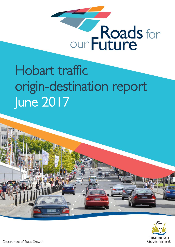

# Hobart traffic origin-destination report June 2017



Department of State Growth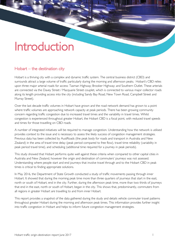## Introduction

### Hobart – the destination city

Hobart is a thriving city with a complex and dynamic traffic system. The central business district (CBD) and surrounds attract a large volume of traffic particularly during the morning and afternoon peaks. Hobart's CBD relies upon three major arterial roads for access: Tasman Highway; Brooker Highway; and Southern Outlet. These arterials are connected via the Davey Street / Macquarie Street couplet, which is connected to various major collector roads along its length providing access into the city (including Sandy Bay Road, New Town Road, Campbell Street and Murray Street).

Over the last decade traffic volumes in Hobart have grown and the road network demand has grown to a point where traffic volumes are approaching network capacity at peak periods. There has been growing community concern regarding traffic congestion due to increased travel times and the variability in travel times. Whilst congestion is experienced throughout greater Hobart, the Hobart CBD is a focal point, with reduced travel speeds and times for those travelling on CBD roads.

A number of integrated initiatives will be required to manage congestion. Understanding how the network is utilised provides context to the issue and is necessary to assess the likely success of congestion management strategies. Previous data has been collected by AustRoads (the peak body for roads and transport in Australia and New Zealand) in the area of travel time delay (peak period compared to free flow), travel time reliability (variability in peak period travel time), and scheduling (additional time required for a journey in peak periods).

This study showed that Hobart performs quite well against these criteria when compared to other capital cities in Australia and New Zealand, however the origin and destination of commuters' journeys was not assessed. Understanding where people start and end journeys that involve travel through and to the Hobart CBD in peak times is critical to finding appropriate solutions.

In May 2016, the Department of State Growth conducted a study of traffic movements passing through inner Hobart. It showed that during the morning peak time more than three quarters of journeys that start in the east, north or south of Hobart, end in the city. Further, during the afternoon peak time, more than two thirds of journeys that end in the east, north or south of Hobart, began in the city. This shows that, predominantly, commuters from all regions in greater Hobart are travelling to and from inner Hobart.

This report provides a snapshot of the data gathered during the study and details vehicle commuter travel patterns throughout greater Hobart during the morning and afternoon peak times. This information provides further insight into traffic congestion in Hobart and helps to inform future congestion management strategies.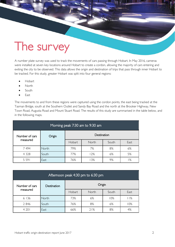## The survey

A number plate survey was used to track the movements of cars passing through Hobart. In May 2016, cameras were installed at seven key locations around Hobart to create a cordon, allowing the majority of cars entering and exiting the city to be observed. This data allows the origin and destination of trips that pass through inner Hobart to be tracked. For this study, greater Hobart was split into four general regions:

Hobart

- North
- South
- East

The movements to and from these regions were captured using the cordon points, the east being tracked at the Tasman Bridge, south at the Southern Outlet and Sandy Bay Road and the north at the Brooker Highway, New Town Road, Augusta Road and Mount Stuart Road. The results of this study are summarised in the table below, and in the following maps.

| Morning peak 7:30 am to 9:30 am |                       |        |       |       |      |  |  |
|---------------------------------|-----------------------|--------|-------|-------|------|--|--|
| Number of cars                  | Destination<br>Origin |        |       |       |      |  |  |
| measured                        |                       | Hobart | North | South | East |  |  |
| 7494                            | North                 | 79%    | 7%    | 8%    | 6%   |  |  |
| 4 3 2 8                         | South                 | 77%    | 12%   | 6%    | 5%   |  |  |
| 5 5 9 1                         | East                  | 76%    | 3%    | 9%    | %    |  |  |

| Afternoon peak 4:30 pm to 6:30 pm |             |        |       |       |      |  |  |
|-----------------------------------|-------------|--------|-------|-------|------|--|--|
| Number of cars                    | Destination | Origin |       |       |      |  |  |
| measured                          |             | Hobart | North | South | East |  |  |
| 6 1 3 6                           | North       | 73%    | 6%    | 10%   | 11%  |  |  |
| 2846                              | South       | 76%    | 8%    | 6%    | 10%  |  |  |
| 4 2 0 1                           | East        | 66%    | 21%   | 8%    | 4%   |  |  |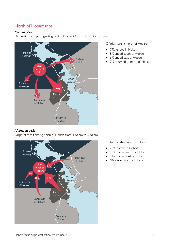### North of Hobart trips

#### Morning peak

Destination of trips originating north of Hobart from 7:30 am to 9:30 am



Of trips starting north of Hobart:

- 79% ended in Hobart
- 8% ended south of Hobart
- 6% ended east of Hobart
- 7% returned to north of Hobart.

#### Afternoon peak

Origin of trips finishing north of Hobart from 4:30 pm to 6:30 pm



Of trips finishing north of Hobart:

- 73% started in Hobart
- 10% started south of Hobart
- 11% started east of Hobart
- 6% started north of Hobart.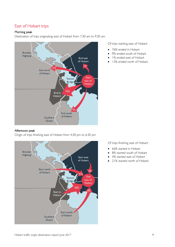## East of Hobart trips

#### Morning peak

Destination of trips originating east of Hobart from 7:30 am to 9:30 am



#### Afternoon peak

Origin of trips finishing east of Hobart from 4:30 pm to 6:30 pm



Of trips starting east of Hobart:

- 76% ended in Hobart
- 9% ended south of Hobart
- 1% ended east of Hobart
- 13% ended north of Hobart.

Of trips finishing east of Hobart:

- 66% started in Hobart
- 8% started south of Hobart
- 4% started east of Hobart
- 21% started north of Hobart.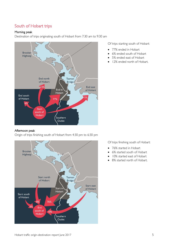### South of Hobart trips

#### Morning peak

Destination of trips originating south of Hobart from 7:30 am to 9:30 am



#### Afternoon peak

Origin of trips finishing south of Hobart from 4:30 pm to 6:30 pm



Of trips starting south of Hobart:

- 77% ended in Hobart
- 6% ended south of Hobart
- 5% ended east of Hobart
- 12% ended north of Hobart.

Of trips finishing south of Hobart:

- 76% started in Hobart
- 6% started south of Hobart
- 10% started east of Hobart
- 8% started north of Hobart.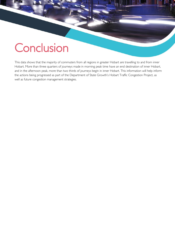## **Conclusion**

This data shows that the majority of commuters from all regions in greater Hobart are travelling to and from inner Hobart. More than three quarters of journeys made in morning peak time have an end destination of inner Hobart, and in the afternoon peak, more than two thirds of journeys begin in inner Hobart. This information will help inform the actions being progressed as part of the Department of State Growth's Hobart Traffic Congestion Project, as well as future congestion management strategies.